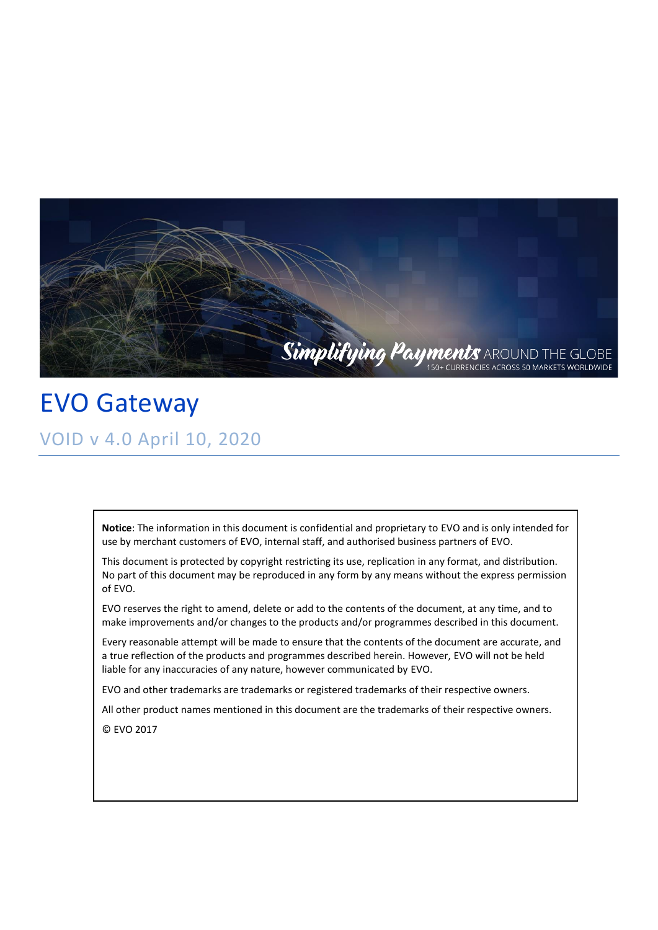

EVO Gateway VOID v 4.0 April 10, 2020

> **Notice**: The information in this document is confidential and proprietary to EVO and is only intended for use by merchant customers of EVO, internal staff, and authorised business partners of EVO.

> This document is protected by copyright restricting its use, replication in any format, and distribution. No part of this document may be reproduced in any form by any means without the express permission of EVO.

EVO reserves the right to amend, delete or add to the contents of the document, at any time, and to make improvements and/or changes to the products and/or programmes described in this document.

Every reasonable attempt will be made to ensure that the contents of the document are accurate, and a true reflection of the products and programmes described herein. However, EVO will not be held liable for any inaccuracies of any nature, however communicated by EVO.

EVO and other trademarks are trademarks or registered trademarks of their respective owners.

All other product names mentioned in this document are the trademarks of their respective owners.

© EVO 2017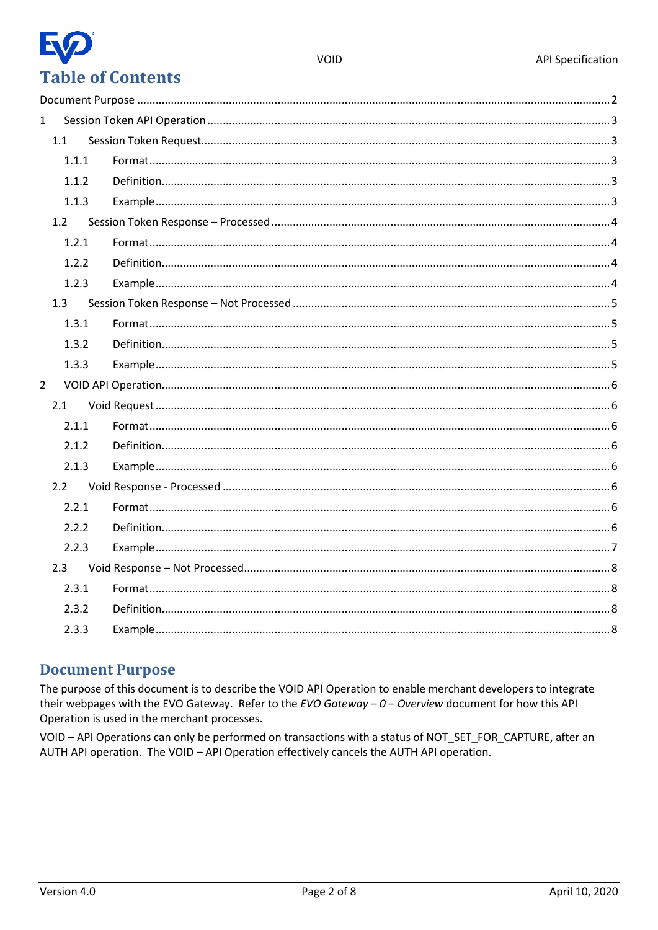

| $\mathbf{1}$   |               |  |
|----------------|---------------|--|
|                | 1.1           |  |
|                | 1.1.1         |  |
|                | 1.1.2         |  |
|                | 1.1.3         |  |
|                | 1.2           |  |
|                | 1.2.1         |  |
|                | 1.2.2         |  |
|                | 1.2.3         |  |
|                | 1.3           |  |
|                | 1.3.1         |  |
|                | 1.3.2         |  |
|                | 1.3.3         |  |
| $\overline{2}$ |               |  |
|                | 2.1           |  |
|                | 2.1.1         |  |
|                | 2.1.2         |  |
|                | 2.1.3         |  |
|                | $2.2^{\circ}$ |  |
|                | 2.2.1         |  |
|                | 2.2.2         |  |
|                | 2.2.3         |  |
|                | 2.3           |  |
|                | 2.3.1         |  |
|                | 2.3.2         |  |
|                | 2.3.3         |  |
|                |               |  |

#### <span id="page-1-0"></span>**Document Purpose**

The purpose of this document is to describe the VOID API Operation to enable merchant developers to integrate their webpages with the EVO Gateway. Refer to the EVO Gateway  $-0$  - Overview document for how this API Operation is used in the merchant processes.

VOID - API Operations can only be performed on transactions with a status of NOT\_SET\_FOR\_CAPTURE, after an AUTH API operation. The VOID - API Operation effectively cancels the AUTH API operation.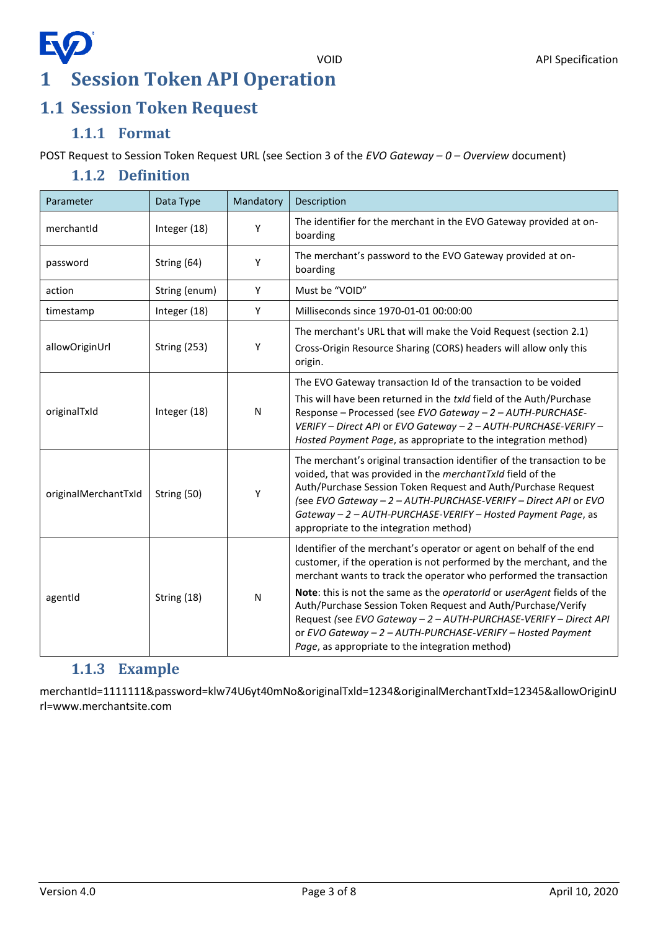# **EQ 1 Session Token API Operation**

# <span id="page-2-1"></span><span id="page-2-0"></span>**1.1 Session Token Request**

#### **1.1.1 Format**

<span id="page-2-3"></span><span id="page-2-2"></span>POST Request to Session Token Request URL (see Section 3 of the *EVO Gateway – 0 – Overview* document)

#### **1.1.2 Definition**

| Parameter            | Data Type           | Mandatory | Description                                                                                                                                                                                                                                                                                                                                                                                                                                                                                                                                       |
|----------------------|---------------------|-----------|---------------------------------------------------------------------------------------------------------------------------------------------------------------------------------------------------------------------------------------------------------------------------------------------------------------------------------------------------------------------------------------------------------------------------------------------------------------------------------------------------------------------------------------------------|
| merchantId           | Integer (18)        | Y         | The identifier for the merchant in the EVO Gateway provided at on-<br>boarding                                                                                                                                                                                                                                                                                                                                                                                                                                                                    |
| password             | String (64)         | Υ         | The merchant's password to the EVO Gateway provided at on-<br>boarding                                                                                                                                                                                                                                                                                                                                                                                                                                                                            |
| action               | String (enum)       | Y         | Must be "VOID"                                                                                                                                                                                                                                                                                                                                                                                                                                                                                                                                    |
| timestamp            | Integer (18)        | Y         | Milliseconds since 1970-01-01 00:00:00                                                                                                                                                                                                                                                                                                                                                                                                                                                                                                            |
| allowOriginUrl       | <b>String (253)</b> | Υ         | The merchant's URL that will make the Void Request (section 2.1)<br>Cross-Origin Resource Sharing (CORS) headers will allow only this<br>origin.                                                                                                                                                                                                                                                                                                                                                                                                  |
| originalTxId         | Integer (18)        | N         | The EVO Gateway transaction Id of the transaction to be voided<br>This will have been returned in the txld field of the Auth/Purchase<br>Response - Processed (see EVO Gateway - 2 - AUTH-PURCHASE-<br>VERIFY - Direct API or EVO Gateway - 2 - AUTH-PURCHASE-VERIFY -<br>Hosted Payment Page, as appropriate to the integration method)                                                                                                                                                                                                          |
| originalMerchantTxId | String (50)         | Υ         | The merchant's original transaction identifier of the transaction to be<br>voided, that was provided in the merchantTxId field of the<br>Auth/Purchase Session Token Request and Auth/Purchase Request<br>(see EVO Gateway - 2 - AUTH-PURCHASE-VERIFY - Direct API or EVO<br>Gateway - 2 - AUTH-PURCHASE-VERIFY - Hosted Payment Page, as<br>appropriate to the integration method)                                                                                                                                                               |
| agentId              | String (18)         | N         | Identifier of the merchant's operator or agent on behalf of the end<br>customer, if the operation is not performed by the merchant, and the<br>merchant wants to track the operator who performed the transaction<br>Note: this is not the same as the operatorId or userAgent fields of the<br>Auth/Purchase Session Token Request and Auth/Purchase/Verify<br>Request (see EVO Gateway - 2 - AUTH-PURCHASE-VERIFY - Direct API<br>or EVO Gateway - 2 - AUTH-PURCHASE-VERIFY - Hosted Payment<br>Page, as appropriate to the integration method) |

#### **1.1.3 Example**

<span id="page-2-4"></span>merchantId=1111111&password=klw74U6yt40mNo&originalTxld=1234&originalMerchantTxId=12345&allowOriginU rl=www.merchantsite.com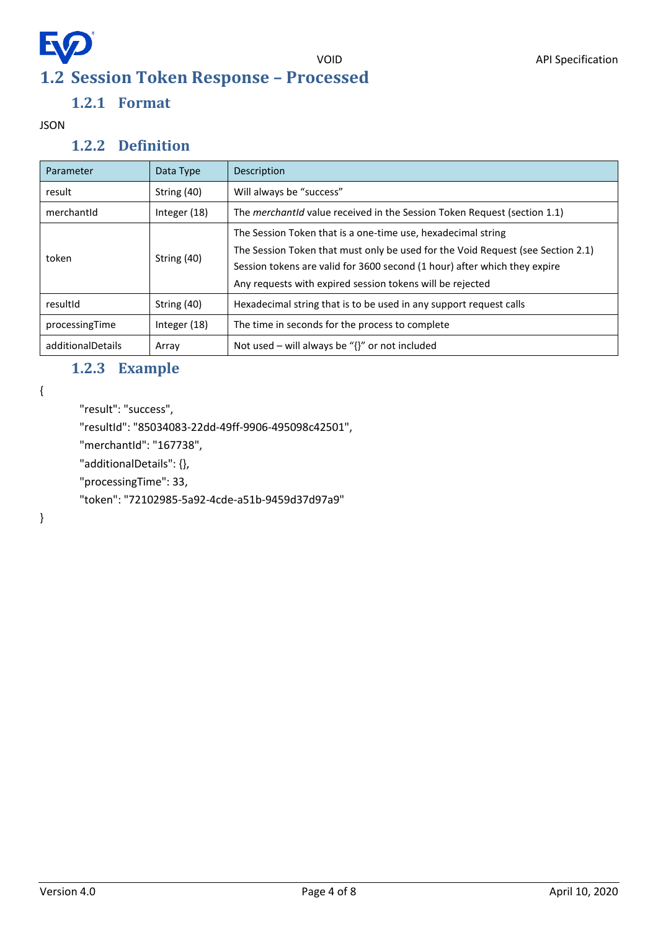# <span id="page-3-0"></span>EQ **1.2 Session Token Response – Processed**

#### **1.2.1 Format**

#### <span id="page-3-2"></span><span id="page-3-1"></span>JSON

#### **1.2.2 Definition**

| Parameter         | Data Type      | Description                                                                                                                                                                                                                                                                               |
|-------------------|----------------|-------------------------------------------------------------------------------------------------------------------------------------------------------------------------------------------------------------------------------------------------------------------------------------------|
| result            | String (40)    | Will always be "success"                                                                                                                                                                                                                                                                  |
| merchantId        | Integer (18)   | The <i>merchantid</i> value received in the Session Token Request (section 1.1)                                                                                                                                                                                                           |
| token             | String (40)    | The Session Token that is a one-time use, hexadecimal string<br>The Session Token that must only be used for the Void Request (see Section 2.1)<br>Session tokens are valid for 3600 second (1 hour) after which they expire<br>Any requests with expired session tokens will be rejected |
| resultId          | String (40)    | Hexadecimal string that is to be used in any support request calls                                                                                                                                                                                                                        |
| processingTime    | Integer $(18)$ | The time in seconds for the process to complete                                                                                                                                                                                                                                           |
| additionalDetails | Array          | Not used – will always be " $\{$ " or not included                                                                                                                                                                                                                                        |

### **1.2.3 Example**

<span id="page-3-3"></span>{

```
"result": "success",
```
"resultId": "85034083-22dd-49ff-9906-495098c42501",

"merchantId": "167738",

"additionalDetails": {},

"processingTime": 33,

"token": "72102985-5a92-4cde-a51b-9459d37d97a9"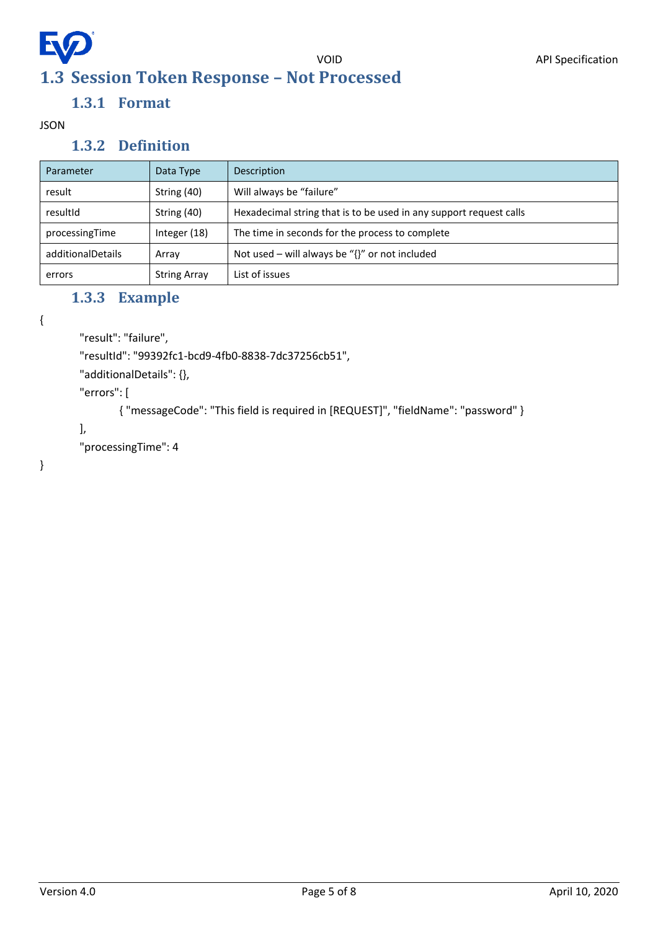## <span id="page-4-0"></span>**EV** VOID API Specification **1.3 Session Token Response – Not Processed**

## **1.3.1 Format**

<span id="page-4-2"></span><span id="page-4-1"></span>JSON

#### **1.3.2 Definition**

| Parameter         | Data Type           | Description                                                        |
|-------------------|---------------------|--------------------------------------------------------------------|
| result            | String (40)         | Will always be "failure"                                           |
| resultId          | String (40)         | Hexadecimal string that is to be used in any support request calls |
| processingTime    | Integer (18)        | The time in seconds for the process to complete                    |
| additionalDetails | Array               | Not used – will always be " $\{$ " or not included                 |
| errors            | <b>String Array</b> | List of issues                                                     |

### **1.3.3 Example**

<span id="page-4-3"></span>{

```
"result": "failure",
```
"resultId": "99392fc1-bcd9-4fb0-8838-7dc37256cb51",

"additionalDetails": {},

"errors": [

{ "messageCode": "This field is required in [REQUEST]", "fieldName": "password" }

```
],
```
"processingTime": 4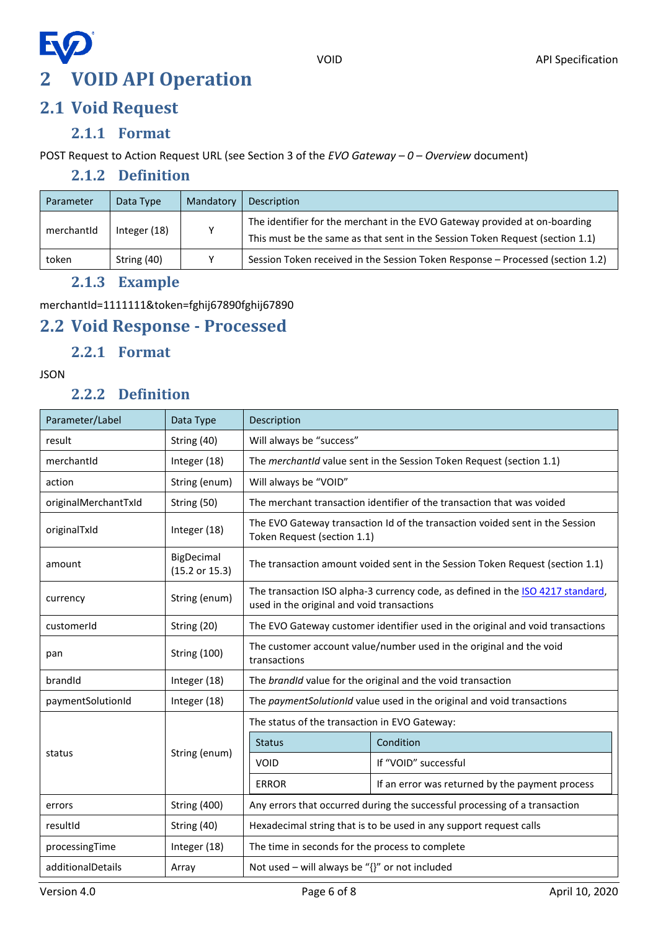

# <span id="page-5-1"></span><span id="page-5-0"></span>**2.1 Void Request**

#### **2.1.1 Format**

<span id="page-5-3"></span><span id="page-5-2"></span>POST Request to Action Request URL (see Section 3 of the *EVO Gateway – 0 – Overview* document)

#### **2.1.2 Definition**

| Parameter  | Data Type    | Mandatory | Description                                                                                                                                                 |
|------------|--------------|-----------|-------------------------------------------------------------------------------------------------------------------------------------------------------------|
| merchantId | Integer (18) | ۷         | The identifier for the merchant in the EVO Gateway provided at on-boarding<br>This must be the same as that sent in the Session Token Request (section 1.1) |
| token      | String (40)  | v         | Session Token received in the Session Token Response - Processed (section 1.2)                                                                              |

#### **2.1.3 Example**

<span id="page-5-4"></span>merchantId=1111111&token=fghij67890fghij67890

## <span id="page-5-5"></span>**2.2 Void Response - Processed**

#### **2.2.1 Format**

<span id="page-5-7"></span><span id="page-5-6"></span>JSON

### **2.2.2 Definition**

| Parameter/Label               | Data Type                    | Description                                                                                                                   |                                                                            |  |
|-------------------------------|------------------------------|-------------------------------------------------------------------------------------------------------------------------------|----------------------------------------------------------------------------|--|
| result                        | String (40)                  | Will always be "success"                                                                                                      |                                                                            |  |
| merchantId                    | Integer (18)                 | The merchantid value sent in the Session Token Request (section 1.1)                                                          |                                                                            |  |
| action                        | String (enum)                | Will always be "VOID"                                                                                                         |                                                                            |  |
| originalMerchantTxId          | String (50)                  | The merchant transaction identifier of the transaction that was voided                                                        |                                                                            |  |
| originalTxId                  | Integer (18)                 | The EVO Gateway transaction Id of the transaction voided sent in the Session<br>Token Request (section 1.1)                   |                                                                            |  |
| amount                        | BigDecimal<br>(15.2 or 15.3) | The transaction amount voided sent in the Session Token Request (section 1.1)                                                 |                                                                            |  |
| currency                      | String (enum)                | The transaction ISO alpha-3 currency code, as defined in the ISO 4217 standard,<br>used in the original and void transactions |                                                                            |  |
| customerId                    | String (20)                  | The EVO Gateway customer identifier used in the original and void transactions                                                |                                                                            |  |
| pan                           | <b>String (100)</b>          | The customer account value/number used in the original and the void<br>transactions                                           |                                                                            |  |
| brandId                       | Integer (18)                 |                                                                                                                               | The brandId value for the original and the void transaction                |  |
| paymentSolutionId             | Integer (18)                 | The paymentSolutionId value used in the original and void transactions                                                        |                                                                            |  |
|                               |                              | The status of the transaction in EVO Gateway:                                                                                 |                                                                            |  |
|                               | String (enum)                | <b>Status</b>                                                                                                                 | Condition                                                                  |  |
| status                        |                              | <b>VOID</b>                                                                                                                   | If "VOID" successful                                                       |  |
|                               |                              | <b>ERROR</b>                                                                                                                  | If an error was returned by the payment process                            |  |
| <b>String (400)</b><br>errors |                              |                                                                                                                               | Any errors that occurred during the successful processing of a transaction |  |
| resultId                      | String (40)                  | Hexadecimal string that is to be used in any support request calls                                                            |                                                                            |  |
| processingTime                | Integer (18)                 | The time in seconds for the process to complete                                                                               |                                                                            |  |
| additionalDetails             | Array                        | Not used - will always be "{}" or not included                                                                                |                                                                            |  |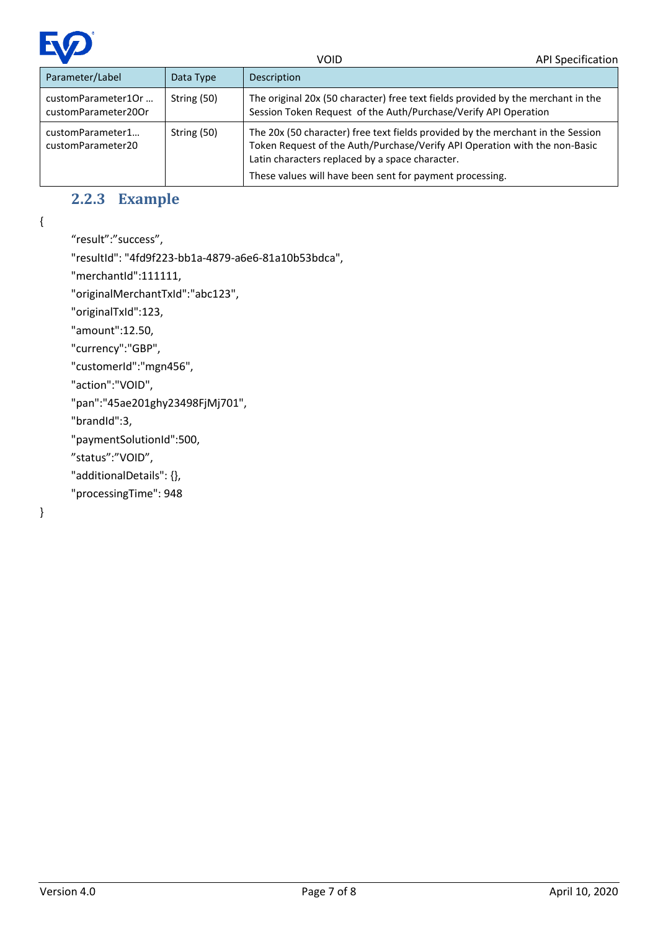

| Parameter/Label                           | Data Type   | Description                                                                                                                                                                                                                                                                  |
|-------------------------------------------|-------------|------------------------------------------------------------------------------------------------------------------------------------------------------------------------------------------------------------------------------------------------------------------------------|
| customParameter1Or<br>customParameter20Or | String (50) | The original 20x (50 character) free text fields provided by the merchant in the<br>Session Token Request of the Auth/Purchase/Verify API Operation                                                                                                                          |
| customParameter1<br>customParameter20     | String (50) | The 20x (50 character) free text fields provided by the merchant in the Session<br>Token Request of the Auth/Purchase/Verify API Operation with the non-Basic<br>Latin characters replaced by a space character.<br>These values will have been sent for payment processing. |

### **2.2.3 Example**

<span id="page-6-0"></span>{

```
"result":"success",
```
"resultId": "4fd9f223-bb1a-4879-a6e6-81a10b53bdca",

"merchantId":111111,

"originalMerchantTxId":"abc123",

"originalTxId":123,

"amount":12.50,

"currency":"GBP",

"customerId":"mgn456",

"action":"VOID",

```
"pan":"45ae201ghy23498FjMj701",
```
"brandId":3,

"paymentSolutionId":500,

"status":"VOID",

"additionalDetails": {},

"processingTime": 948